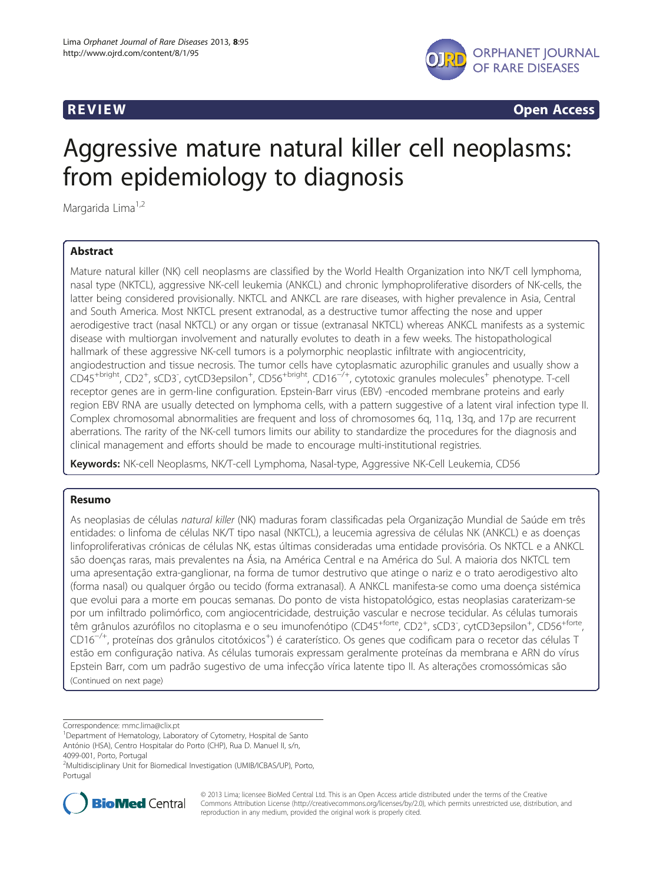

**REVIEW CONSIDERING CONSIDERING CONSIDERING CONSIDERING CONSIDERING CONSIDERING CONSIDERING CONSIDERING CONSIDERING CONSIDERING CONSIDERING CONSIDERING CONSIDERING CONSIDERING CONSIDERING CONSIDERING CONSIDERING CONSIDER** 

# Aggressive mature natural killer cell neoplasms: from epidemiology to diagnosis

Margarida Lima<sup>1,2</sup>

# Abstract

Mature natural killer (NK) cell neoplasms are classified by the World Health Organization into NK/T cell lymphoma, nasal type (NKTCL), aggressive NK-cell leukemia (ANKCL) and chronic lymphoproliferative disorders of NK-cells, the latter being considered provisionally. NKTCL and ANKCL are rare diseases, with higher prevalence in Asia, Central and South America. Most NKTCL present extranodal, as a destructive tumor affecting the nose and upper aerodigestive tract (nasal NKTCL) or any organ or tissue (extranasal NKTCL) whereas ANKCL manifests as a systemic disease with multiorgan involvement and naturally evolutes to death in a few weeks. The histopathological hallmark of these aggressive NK-cell tumors is a polymorphic neoplastic infiltrate with angiocentricity, angiodestruction and tissue necrosis. The tumor cells have cytoplasmatic azurophilic granules and usually show a CD45<sup>+bright</sup>, CD2<sup>+</sup>, sCD3<sup>-</sup>, cytCD3epsilon<sup>+</sup>, CD56<sup>+bright</sup>, CD16<sup>-/+</sup>, cytotoxic granules molecules<sup>+</sup> phenotype. T-cell receptor genes are in germ-line configuration. Epstein-Barr virus (EBV) -encoded membrane proteins and early region EBV RNA are usually detected on lymphoma cells, with a pattern suggestive of a latent viral infection type II. Complex chromosomal abnormalities are frequent and loss of chromosomes 6q, 11q, 13q, and 17p are recurrent aberrations. The rarity of the NK-cell tumors limits our ability to standardize the procedures for the diagnosis and clinical management and efforts should be made to encourage multi-institutional registries.

Keywords: NK-cell Neoplasms, NK/T-cell Lymphoma, Nasal-type, Aggressive NK-Cell Leukemia, CD56

# Resumo

As neoplasias de células natural killer (NK) maduras foram classificadas pela Organização Mundial de Saúde em três entidades: o linfoma de células NK/T tipo nasal (NKTCL), a leucemia agressiva de células NK (ANKCL) e as doenças linfoproliferativas crónicas de células NK, estas últimas consideradas uma entidade provisória. Os NKTCL e a ANKCL são doenças raras, mais prevalentes na Ásia, na América Central e na América do Sul. A maioria dos NKTCL tem uma apresentação extra-ganglionar, na forma de tumor destrutivo que atinge o nariz e o trato aerodigestivo alto (forma nasal) ou qualquer órgão ou tecido (forma extranasal). A ANKCL manifesta-se como uma doença sistémica que evolui para a morte em poucas semanas. Do ponto de vista histopatológico, estas neoplasias caraterizam-se por um infiltrado polimórfico, com angiocentricidade, destruição vascular e necrose tecidular. As células tumorais .<br>têm grânulos azurófilos no citoplasma e o seu imunofenótipo (CD45<sup>+forte</sup>, CD2<sup>+</sup>, sCD3<sup>-</sup>, cytCD3epsilon<sup>+</sup>, CD56<sup>+forte</sup>, CD16<sup>-/+</sup>, proteínas dos grânulos citotóxicos<sup>+</sup>) é caraterístico. Os genes que codificam para o recetor das células T estão em configuração nativa. As células tumorais expressam geralmente proteínas da membrana e ARN do vírus Epstein Barr, com um padrão sugestivo de uma infecção vírica latente tipo II. As alterações cromossómicas são (Continued on next page)

Correspondence: [mmc.lima@clix.pt](mailto:mmc.lima@clix.pt) <sup>1</sup>

<sup>2</sup> Multidisciplinary Unit for Biomedical Investigation (UMIB/ICBAS/UP), Porto, Portugal



© 2013 Lima; licensee BioMed Central Ltd. This is an Open Access article distributed under the terms of the Creative Commons Attribution License [\(http://creativecommons.org/licenses/by/2.0\)](http://creativecommons.org/licenses/by/2.0), which permits unrestricted use, distribution, and reproduction in any medium, provided the original work is properly cited.

<sup>&</sup>lt;sup>1</sup>Department of Hematology, Laboratory of Cytometry, Hospital de Santo António (HSA), Centro Hospitalar do Porto (CHP), Rua D. Manuel II, s/n, 4099-001, Porto, Portugal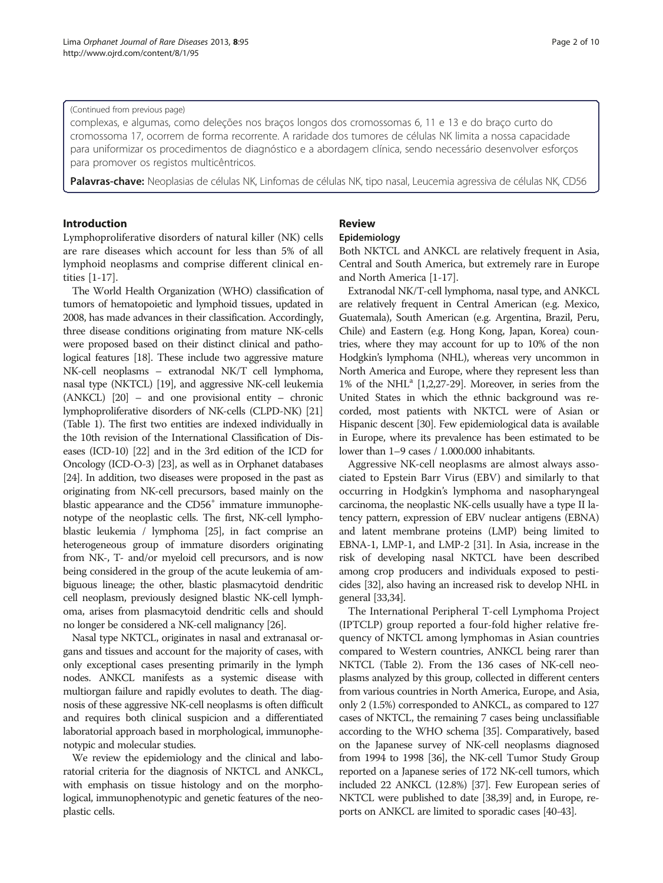#### (Continued from previous page)

complexas, e algumas, como deleções nos braços longos dos cromossomas 6, 11 e 13 e do braço curto do cromossoma 17, ocorrem de forma recorrente. A raridade dos tumores de células NK limita a nossa capacidade para uniformizar os procedimentos de diagnóstico e a abordagem clínica, sendo necessário desenvolver esforços para promover os registos multicêntricos.

Palavras-chave: Neoplasias de células NK, Linfomas de células NK, tipo nasal, Leucemia agressiva de células NK, CD56

# Introduction

Lymphoproliferative disorders of natural killer (NK) cells are rare diseases which account for less than 5% of all lymphoid neoplasms and comprise different clinical entities [\[1](#page-7-0)-[17\]](#page-7-0).

The World Health Organization (WHO) classification of tumors of hematopoietic and lymphoid tissues, updated in 2008, has made advances in their classification. Accordingly, three disease conditions originating from mature NK-cells were proposed based on their distinct clinical and pathological features [\[18](#page-7-0)]. These include two aggressive mature NK-cell neoplasms – extranodal NK/T cell lymphoma, nasal type (NKTCL) [[19](#page-7-0)], and aggressive NK-cell leukemia (ANKCL) [\[20\]](#page-7-0) – and one provisional entity – chronic lymphoproliferative disorders of NK-cells (CLPD-NK) [\[21](#page-7-0)] (Table [1](#page-2-0)). The first two entities are indexed individually in the 10th revision of the International Classification of Diseases (ICD-10) [\[22\]](#page-7-0) and in the 3rd edition of the ICD for Oncology (ICD-O-3) [[23](#page-7-0)], as well as in Orphanet databases [[24](#page-7-0)]. In addition, two diseases were proposed in the past as originating from NK-cell precursors, based mainly on the blastic appearance and the  $CD56<sup>+</sup>$  immature immunophenotype of the neoplastic cells. The first, NK-cell lymphoblastic leukemia / lymphoma [\[25](#page-7-0)], in fact comprise an heterogeneous group of immature disorders originating from NK-, T- and/or myeloid cell precursors, and is now being considered in the group of the acute leukemia of ambiguous lineage; the other, blastic plasmacytoid dendritic cell neoplasm, previously designed blastic NK-cell lymphoma, arises from plasmacytoid dendritic cells and should no longer be considered a NK-cell malignancy [[26](#page-7-0)].

Nasal type NKTCL, originates in nasal and extranasal organs and tissues and account for the majority of cases, with only exceptional cases presenting primarily in the lymph nodes. ANKCL manifests as a systemic disease with multiorgan failure and rapidly evolutes to death. The diagnosis of these aggressive NK-cell neoplasms is often difficult and requires both clinical suspicion and a differentiated laboratorial approach based in morphological, immunophenotypic and molecular studies.

We review the epidemiology and the clinical and laboratorial criteria for the diagnosis of NKTCL and ANKCL, with emphasis on tissue histology and on the morphological, immunophenotypic and genetic features of the neoplastic cells.

# Review

## Epidemiology

Both NKTCL and ANKCL are relatively frequent in Asia, Central and South America, but extremely rare in Europe and North America [[1-17\]](#page-7-0).

Extranodal NK/T-cell lymphoma, nasal type, and ANKCL are relatively frequent in Central American (e.g. Mexico, Guatemala), South American (e.g. Argentina, Brazil, Peru, Chile) and Eastern (e.g. Hong Kong, Japan, Korea) countries, where they may account for up to 10% of the non Hodgkin's lymphoma (NHL), whereas very uncommon in North America and Europe, where they represent less than 1% of the NHL $^a$  [\[1,2,27-29\]](#page-7-0). Moreover, in series from the United States in which the ethnic background was recorded, most patients with NKTCL were of Asian or Hispanic descent [\[30\]](#page-7-0). Few epidemiological data is available in Europe, where its prevalence has been estimated to be lower than 1–9 cases / 1.000.000 inhabitants.

Aggressive NK-cell neoplasms are almost always associated to Epstein Barr Virus (EBV) and similarly to that occurring in Hodgkin's lymphoma and nasopharyngeal carcinoma, the neoplastic NK-cells usually have a type II latency pattern, expression of EBV nuclear antigens (EBNA) and latent membrane proteins (LMP) being limited to EBNA-1, LMP-1, and LMP-2 [\[31](#page-7-0)]. In Asia, increase in the risk of developing nasal NKTCL have been described among crop producers and individuals exposed to pesticides [\[32\]](#page-7-0), also having an increased risk to develop NHL in general [[33,34](#page-8-0)].

The International Peripheral T-cell Lymphoma Project (IPTCLP) group reported a four-fold higher relative frequency of NKTCL among lymphomas in Asian countries compared to Western countries, ANKCL being rarer than NKTCL (Table [2](#page-3-0)). From the 136 cases of NK-cell neoplasms analyzed by this group, collected in different centers from various countries in North America, Europe, and Asia, only 2 (1.5%) corresponded to ANKCL, as compared to 127 cases of NKTCL, the remaining 7 cases being unclassifiable according to the WHO schema [[35](#page-8-0)]. Comparatively, based on the Japanese survey of NK-cell neoplasms diagnosed from 1994 to 1998 [\[36\]](#page-8-0), the NK-cell Tumor Study Group reported on a Japanese series of 172 NK-cell tumors, which included 22 ANKCL (12.8%) [[37\]](#page-8-0). Few European series of NKTCL were published to date [\[38,39](#page-8-0)] and, in Europe, reports on ANKCL are limited to sporadic cases [\[40](#page-8-0)-[43](#page-8-0)].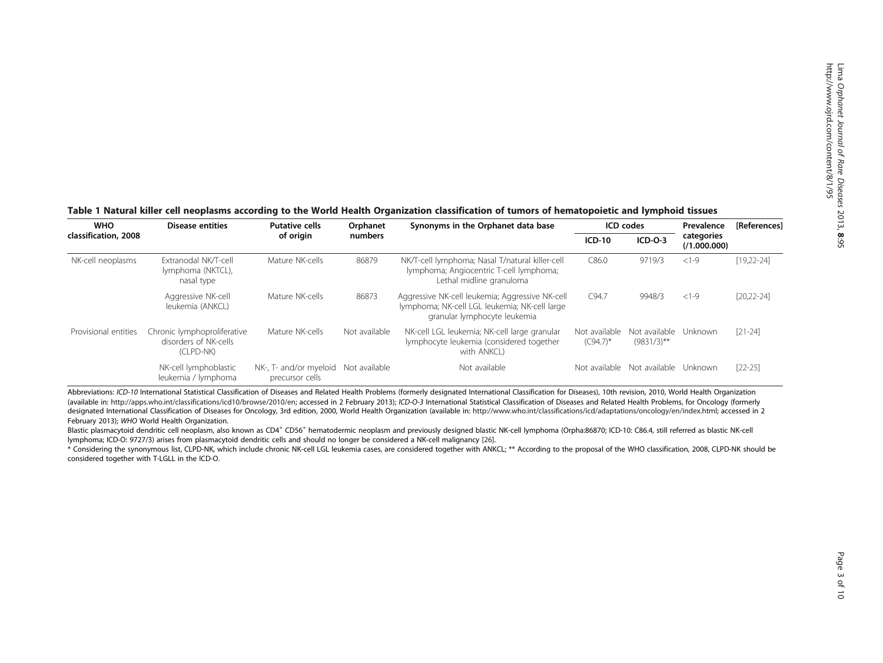| <b>WHO</b><br>classification, 2008 | <b>Disease entities</b>                                           | <b>Putative cells</b><br>of origin                      | Orphanet<br>numbers | Synonyms in the Orphanet data base                                                                                               | ICD codes                    |                                | Prevalence                 | [References]    |
|------------------------------------|-------------------------------------------------------------------|---------------------------------------------------------|---------------------|----------------------------------------------------------------------------------------------------------------------------------|------------------------------|--------------------------------|----------------------------|-----------------|
|                                    |                                                                   |                                                         |                     |                                                                                                                                  | <b>ICD-10</b>                | $ICD-O-3$                      | categories<br>(71.000.000) |                 |
| NK-cell neoplasms                  | Extranodal NK/T-cell<br>lymphoma (NKTCL),<br>nasal type           | Mature NK-cells                                         | 86879               | NK/T-cell lymphoma; Nasal T/natural killer-cell<br>lymphoma; Angiocentric T-cell lymphoma;<br>Lethal midline granuloma           | C86.0                        | 9719/3                         | $<1-9$                     | $[19, 22 - 24]$ |
|                                    | Aggressive NK-cell<br>leukemia (ANKCL)                            | Mature NK-cells                                         | 86873               | Aggressive NK-cell leukemia; Aggressive NK-cell<br>lymphoma; NK-cell LGL leukemia; NK-cell large<br>granular lymphocyte leukemia | C94.7<br>9948/3              | $<1-9$                         | $[20, 22 - 24]$            |                 |
| Provisional entities               | Chronic lymphoproliferative<br>disorders of NK-cells<br>(CLPD-NK) | Mature NK-cells                                         | Not available       | NK-cell LGL leukemia; NK-cell large granular<br>lymphocyte leukemia (considered together<br>with ANKCL)                          | Not available<br>$(C94.7)^*$ | Not available<br>$(9831/3)$ ** | Unknown                    | $[21 - 24]$     |
|                                    | NK-cell lymphoblastic<br>leukemia / lymphoma                      | NK-, T- and/or myeloid Not available<br>precursor cells |                     | Not available                                                                                                                    | Not available                | Not available                  | Unknown                    | $[22-25]$       |

#### <span id="page-2-0"></span>Table 1 Natural killer cell neoplasms according to the World Health Organization classification of tumors of hematopoietic and lymphoid tissues

Abbreviations: ICD-10 International Statistical Classification of Diseases and Related Health Problems (formerly designated International Classification for Diseases), 10th revision, 2010, World Health Organization (available in: [http://apps.who.int/classifications/icd10/browse/2010/en;](http://apps.who.int/classifications/icd10/browse/2010/en) accessed in 2 February 2013); ICD-O-3 International Statistical Classification of Diseases and Related Health Problems, for Oncology (formerly designated International Classification of Diseases for Oncology, 3rd edition, 2000, World Health Organization (available in: [http://www.who.int/classifications/icd/adaptations/oncology/en/index.html;](http://www.who.int/classifications/icd/adaptations/oncology/en/index.html) accessed in 2 February 2013); WHO World Health Organization.

Blastic plasmacytoid dendritic cell neoplasm, also known as CD4<sup>+</sup> CD56<sup>+</sup> hematodermic neoplasm and previously designed blastic NK-cell lymphoma (Orpha:86870; ICD-10: C86.4, still referred as blastic NK-cell lymphoma; ICD-O: 9727/3) arises from plasmacytoid dendritic cells and should no longer be considered a NK-cell malignancy [\[26](#page-7-0)].

\* Considering the synonymous list, CLPD-NK, which include chronic NK-cell LGL leukemia cases, are considered together with ANKCL; \*\* According to the proposal of the WHO classification, 2008, CLPD-NK should be considered together with T-LGLL in the ICD-O.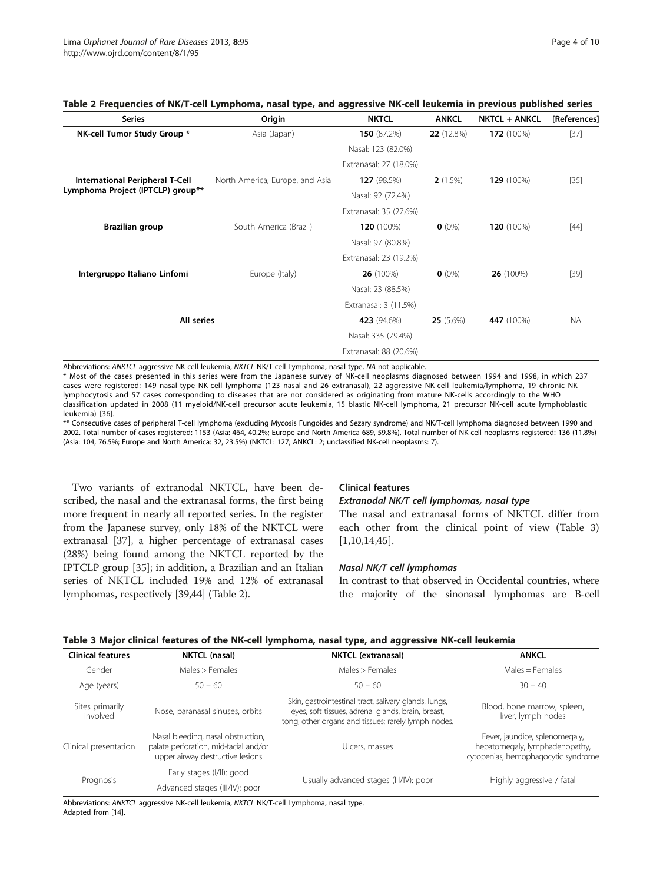#### <span id="page-3-0"></span>Table 2 Frequencies of NK/T-cell Lymphoma, nasal type, and aggressive NK-cell leukemia in previous published series

| <b>Series</b>                     | Origin                          | <b>NKTCL</b>           | <b>ANKCL</b> | <b>NKTCL + ANKCL</b> | [References] |
|-----------------------------------|---------------------------------|------------------------|--------------|----------------------|--------------|
| NK-cell Tumor Study Group *       | Asia (Japan)                    | 150 (87.2%)            | 22 (12.8%)   | 172 (100%)           | $[37]$       |
|                                   |                                 | Nasal: 123 (82.0%)     |              |                      |              |
|                                   |                                 | Extranasal: 27 (18.0%) |              |                      |              |
| International Peripheral T-Cell   | North America, Europe, and Asia | 127 (98.5%)            | 2(1.5%)      | 129 (100%)           | $[35]$       |
| Lymphoma Project (IPTCLP) group** |                                 | Nasal: 92 (72.4%)      |              |                      |              |
|                                   |                                 | Extranasal: 35 (27.6%) |              |                      |              |
| <b>Brazilian group</b>            | South America (Brazil)          | 120 (100%)             | $O(0\%)$     | 120 (100%)           | $[44]$       |
|                                   |                                 | Nasal: 97 (80.8%)      |              |                      |              |
|                                   |                                 | Extranasal: 23 (19.2%) |              |                      |              |
| Intergruppo Italiano Linfomi      | Europe (Italy)                  | $26(100\%)$            | $O(0\%)$     | 26 (100%)            | $[39]$       |
|                                   |                                 | Nasal: 23 (88.5%)      |              |                      |              |
|                                   |                                 | Extranasal: 3 (11.5%)  |              |                      |              |
| All series                        |                                 | <b>423</b> (94.6%)     | $25(5.6\%)$  | 447 (100%)           | NA.          |
|                                   |                                 | Nasal: 335 (79.4%)     |              |                      |              |
|                                   |                                 | Extranasal: 88 (20.6%) |              |                      |              |
|                                   |                                 |                        |              |                      |              |

Abbreviations: ANKTCL aggressive NK-cell leukemia, NKTCL NK/T-cell Lymphoma, nasal type, NA not applicable.

\* Most of the cases presented in this series were from the Japanese survey of NK-cell neoplasms diagnosed between 1994 and 1998, in which 237 cases were registered: 149 nasal-type NK-cell lymphoma (123 nasal and 26 extranasal), 22 aggressive NK-cell leukemia/lymphoma, 19 chronic NK lymphocytosis and 57 cases corresponding to diseases that are not considered as originating from mature NK-cells accordingly to the WHO classification updated in 2008 (11 myeloid/NK-cell precursor acute leukemia, 15 blastic NK-cell lymphoma, 21 precursor NK-cell acute lymphoblastic leukemia) [[36](#page-8-0)].

\*\* Consecutive cases of peripheral T-cell lymphoma (excluding Mycosis Fungoides and Sezary syndrome) and NK/T-cell lymphoma diagnosed between 1990 and 2002. Total number of cases registered: 1153 (Asia: 464, 40.2%; Europe and North America 689, 59.8%). Total number of NK-cell neoplasms registered: 136 (11.8%) (Asia: 104, 76.5%; Europe and North America: 32, 23.5%) (NKTCL: 127; ANKCL: 2; unclassified NK-cell neoplasms: 7).

Two variants of extranodal NKTCL, have been described, the nasal and the extranasal forms, the first being more frequent in nearly all reported series. In the register from the Japanese survey, only 18% of the NKTCL were extranasal [[37\]](#page-8-0), a higher percentage of extranasal cases (28%) being found among the NKTCL reported by the IPTCLP group [\[35\]](#page-8-0); in addition, a Brazilian and an Italian series of NKTCL included 19% and 12% of extranasal lymphomas, respectively [\[39,44\]](#page-8-0) (Table 2).

#### Clinical features

#### Extranodal NK/T cell lymphomas, nasal type

The nasal and extranasal forms of NKTCL differ from each other from the clinical point of view (Table 3)  $[1,10,14,45]$  $[1,10,14,45]$  $[1,10,14,45]$ .

#### Nasal NK/T cell lymphomas

In contrast to that observed in Occidental countries, where the majority of the sinonasal lymphomas are B-cell

#### Table 3 Major clinical features of the NK-cell lymphoma, nasal type, and aggressive NK-cell leukemia

| <b>Clinical features</b>    | NKTCL (nasal)                                                                                                   | <b>NKTCL (extranasal)</b>                                                                                                                                          | <b>ANKCL</b>                                                                                            |  |
|-----------------------------|-----------------------------------------------------------------------------------------------------------------|--------------------------------------------------------------------------------------------------------------------------------------------------------------------|---------------------------------------------------------------------------------------------------------|--|
| Gender                      | Males > Females                                                                                                 | Males > Females                                                                                                                                                    | $Males = Females$                                                                                       |  |
| Age (years)                 | $50 - 60$                                                                                                       | $50 - 60$                                                                                                                                                          | $30 - 40$                                                                                               |  |
| Sites primarily<br>involved | Nose, paranasal sinuses, orbits                                                                                 | Skin, gastrointestinal tract, salivary glands, lungs,<br>eyes, soft tissues, adrenal glands, brain, breast,<br>tong, other organs and tissues; rarely lymph nodes. | Blood, bone marrow, spleen,<br>liver, lymph nodes                                                       |  |
| Clinical presentation       | Nasal bleeding, nasal obstruction,<br>palate perforation, mid-facial and/or<br>upper airway destructive lesions | Ulcers, masses                                                                                                                                                     | Fever, jaundice, splenomegaly,<br>hepatomegaly, lymphadenopathy,<br>cytopenias, hemophagocytic syndrome |  |
|                             | Early stages (I/II): good                                                                                       | Usually advanced stages (III/IV): poor                                                                                                                             | Highly aggressive / fatal                                                                               |  |
| Prognosis                   | Advanced stages (III/IV): poor                                                                                  |                                                                                                                                                                    |                                                                                                         |  |

Abbreviations: ANKTCL aggressive NK-cell leukemia, NKTCL NK/T-cell Lymphoma, nasal type. Adapted from [\[14](#page-7-0)].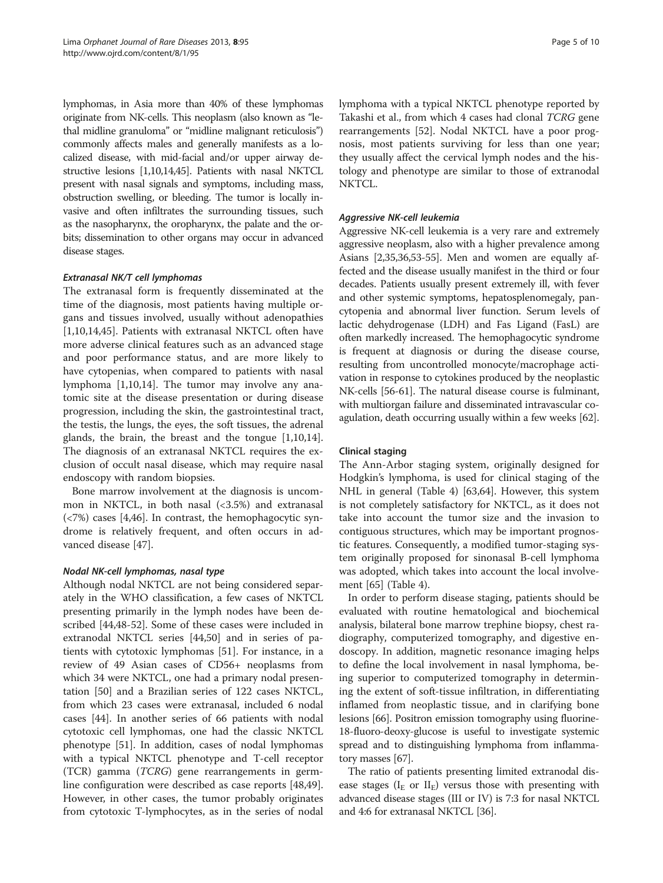lymphomas, in Asia more than 40% of these lymphomas originate from NK-cells. This neoplasm (also known as "lethal midline granuloma" or "midline malignant reticulosis") commonly affects males and generally manifests as a localized disease, with mid-facial and/or upper airway destructive lesions [[1,10,14,](#page-7-0)[45](#page-8-0)]. Patients with nasal NKTCL present with nasal signals and symptoms, including mass, obstruction swelling, or bleeding. The tumor is locally invasive and often infiltrates the surrounding tissues, such as the nasopharynx, the oropharynx, the palate and the orbits; dissemination to other organs may occur in advanced disease stages.

## Extranasal NK/T cell lymphomas

The extranasal form is frequently disseminated at the time of the diagnosis, most patients having multiple organs and tissues involved, usually without adenopathies [[1,10,14,](#page-7-0)[45\]](#page-8-0). Patients with extranasal NKTCL often have more adverse clinical features such as an advanced stage and poor performance status, and are more likely to have cytopenias, when compared to patients with nasal lymphoma [[1,10,14\]](#page-7-0). The tumor may involve any anatomic site at the disease presentation or during disease progression, including the skin, the gastrointestinal tract, the testis, the lungs, the eyes, the soft tissues, the adrenal glands, the brain, the breast and the tongue [\[1,10,14](#page-7-0)]. The diagnosis of an extranasal NKTCL requires the exclusion of occult nasal disease, which may require nasal endoscopy with random biopsies.

Bone marrow involvement at the diagnosis is uncommon in NKTCL, in both nasal (<3.5%) and extranasal (<7%) cases [[4,](#page-7-0)[46\]](#page-8-0). In contrast, the hemophagocytic syndrome is relatively frequent, and often occurs in advanced disease [[47](#page-8-0)].

## Nodal NK-cell lymphomas, nasal type

Although nodal NKTCL are not being considered separately in the WHO classification, a few cases of NKTCL presenting primarily in the lymph nodes have been described [\[44,48-52](#page-8-0)]. Some of these cases were included in extranodal NKTCL series [\[44,50](#page-8-0)] and in series of patients with cytotoxic lymphomas [\[51\]](#page-8-0). For instance, in a review of 49 Asian cases of CD56+ neoplasms from which 34 were NKTCL, one had a primary nodal presentation [[50\]](#page-8-0) and a Brazilian series of 122 cases NKTCL, from which 23 cases were extranasal, included 6 nodal cases [\[44](#page-8-0)]. In another series of 66 patients with nodal cytotoxic cell lymphomas, one had the classic NKTCL phenotype [[51\]](#page-8-0). In addition, cases of nodal lymphomas with a typical NKTCL phenotype and T-cell receptor (TCR) gamma (TCRG) gene rearrangements in germline configuration were described as case reports [\[48,49](#page-8-0)]. However, in other cases, the tumor probably originates from cytotoxic T-lymphocytes, as in the series of nodal lymphoma with a typical NKTCL phenotype reported by Takashi et al., from which 4 cases had clonal TCRG gene rearrangements [\[52\]](#page-8-0). Nodal NKTCL have a poor prognosis, most patients surviving for less than one year; they usually affect the cervical lymph nodes and the histology and phenotype are similar to those of extranodal NKTCL.

#### Aggressive NK-cell leukemia

Aggressive NK-cell leukemia is a very rare and extremely aggressive neoplasm, also with a higher prevalence among Asians [[2,](#page-7-0)[35,36,53-55\]](#page-8-0). Men and women are equally affected and the disease usually manifest in the third or four decades. Patients usually present extremely ill, with fever and other systemic symptoms, hepatosplenomegaly, pancytopenia and abnormal liver function. Serum levels of lactic dehydrogenase (LDH) and Fas Ligand (FasL) are often markedly increased. The hemophagocytic syndrome is frequent at diagnosis or during the disease course, resulting from uncontrolled monocyte/macrophage activation in response to cytokines produced by the neoplastic NK-cells [\[56-61\]](#page-8-0). The natural disease course is fulminant, with multiorgan failure and disseminated intravascular coagulation, death occurring usually within a few weeks [[62](#page-8-0)].

#### Clinical staging

The Ann-Arbor staging system, originally designed for Hodgkin's lymphoma, is used for clinical staging of the NHL in general (Table [4\)](#page-5-0) [\[63,64\]](#page-8-0). However, this system is not completely satisfactory for NKTCL, as it does not take into account the tumor size and the invasion to contiguous structures, which may be important prognostic features. Consequently, a modified tumor-staging system originally proposed for sinonasal B-cell lymphoma was adopted, which takes into account the local involvement [[65\]](#page-8-0) (Table [4](#page-5-0)).

In order to perform disease staging, patients should be evaluated with routine hematological and biochemical analysis, bilateral bone marrow trephine biopsy, chest radiography, computerized tomography, and digestive endoscopy. In addition, magnetic resonance imaging helps to define the local involvement in nasal lymphoma, being superior to computerized tomography in determining the extent of soft-tissue infiltration, in differentiating inflamed from neoplastic tissue, and in clarifying bone lesions [\[66](#page-8-0)]. Positron emission tomography using fluorine-18-fluoro-deoxy-glucose is useful to investigate systemic spread and to distinguishing lymphoma from inflammatory masses [[67](#page-8-0)].

The ratio of patients presenting limited extranodal disease stages ( $I<sub>E</sub>$  or  $II<sub>E</sub>$ ) versus those with presenting with advanced disease stages (III or IV) is 7:3 for nasal NKTCL and 4:6 for extranasal NKTCL [\[36\]](#page-8-0).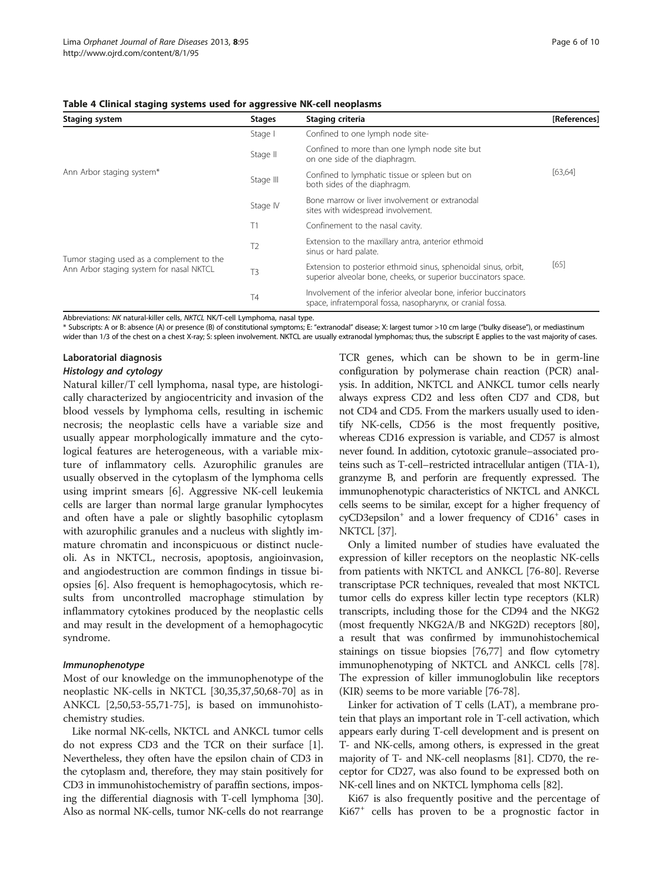<span id="page-5-0"></span>

| Staging system                                                                        | <b>Stages</b>                                                                              | Staging criteria                                                                                                                 | [References] |  |
|---------------------------------------------------------------------------------------|--------------------------------------------------------------------------------------------|----------------------------------------------------------------------------------------------------------------------------------|--------------|--|
|                                                                                       | Stage I                                                                                    | Confined to one lymph node site-                                                                                                 |              |  |
|                                                                                       | Stage II                                                                                   | Confined to more than one lymph node site but<br>on one side of the diaphragm.                                                   |              |  |
| Ann Arbor staging system*                                                             | Confined to lymphatic tissue or spleen but on<br>Stage III<br>both sides of the diaphragm. |                                                                                                                                  | [63, 64]     |  |
|                                                                                       | Stage IV                                                                                   | Bone marrow or liver involvement or extranodal<br>sites with widespread involvement.                                             |              |  |
|                                                                                       | T1                                                                                         | Confinement to the nasal cavity.                                                                                                 | $[65]$       |  |
|                                                                                       | T <sub>2</sub>                                                                             | Extension to the maxillary antra, anterior ethmoid<br>sinus or hard palate.                                                      |              |  |
| Tumor staging used as a complement to the<br>Ann Arbor staging system for nasal NKTCL | T <sub>3</sub>                                                                             | Extension to posterior ethmoid sinus, sphenoidal sinus, orbit,<br>superior alveolar bone, cheeks, or superior buccinators space. |              |  |
|                                                                                       | T4                                                                                         | Involvement of the inferior alveolar bone, inferior buccinators<br>space, infratemporal fossa, nasopharynx, or cranial fossa.    |              |  |

Abbreviations: NK natural-killer cells, NKTCL NK/T-cell Lymphoma, nasal type.

\* Subscripts: A or B: absence (A) or presence (B) of constitutional symptoms; E: "extranodal" disease; X: largest tumor >10 cm large ("bulky disease"), or mediastinum wider than 1/3 of the chest on a chest X-ray; S: spleen involvement. NKTCL are usually extranodal lymphomas; thus, the subscript E applies to the vast majority of cases.

#### Laboratorial diagnosis

#### Histology and cytology

Natural killer/T cell lymphoma, nasal type, are histologically characterized by angiocentricity and invasion of the blood vessels by lymphoma cells, resulting in ischemic necrosis; the neoplastic cells have a variable size and usually appear morphologically immature and the cytological features are heterogeneous, with a variable mixture of inflammatory cells. Azurophilic granules are usually observed in the cytoplasm of the lymphoma cells using imprint smears [[6\]](#page-7-0). Aggressive NK-cell leukemia cells are larger than normal large granular lymphocytes and often have a pale or slightly basophilic cytoplasm with azurophilic granules and a nucleus with slightly immature chromatin and inconspicuous or distinct nucleoli. As in NKTCL, necrosis, apoptosis, angioinvasion, and angiodestruction are common findings in tissue biopsies [[6\]](#page-7-0). Also frequent is hemophagocytosis, which results from uncontrolled macrophage stimulation by inflammatory cytokines produced by the neoplastic cells and may result in the development of a hemophagocytic syndrome.

#### Immunophenotype

Most of our knowledge on the immunophenotype of the neoplastic NK-cells in NKTCL [\[30](#page-7-0)[,35,37,50,68-70](#page-8-0)] as in ANKCL [\[2](#page-7-0)[,50,53](#page-8-0)-[55](#page-8-0),[71](#page-8-0)-[75\]](#page-9-0), is based on immunohistochemistry studies.

Like normal NK-cells, NKTCL and ANKCL tumor cells do not express CD3 and the TCR on their surface [[1](#page-7-0)]. Nevertheless, they often have the epsilon chain of CD3 in the cytoplasm and, therefore, they may stain positively for CD3 in immunohistochemistry of paraffin sections, imposing the differential diagnosis with T-cell lymphoma [[30](#page-7-0)]. Also as normal NK-cells, tumor NK-cells do not rearrange

TCR genes, which can be shown to be in germ-line configuration by polymerase chain reaction (PCR) analysis. In addition, NKTCL and ANKCL tumor cells nearly always express CD2 and less often CD7 and CD8, but not CD4 and CD5. From the markers usually used to identify NK-cells, CD56 is the most frequently positive, whereas CD16 expression is variable, and CD57 is almost never found. In addition, cytotoxic granule–associated proteins such as T-cell–restricted intracellular antigen (TIA-1), granzyme B, and perforin are frequently expressed. The immunophenotypic characteristics of NKTCL and ANKCL cells seems to be similar, except for a higher frequency of cyCD3epsilon+ and a lower frequency of CD16+ cases in NKTCL [\[37](#page-8-0)].

Only a limited number of studies have evaluated the expression of killer receptors on the neoplastic NK-cells from patients with NKTCL and ANKCL [[76-80](#page-9-0)]. Reverse transcriptase PCR techniques, revealed that most NKTCL tumor cells do express killer lectin type receptors (KLR) transcripts, including those for the CD94 and the NKG2 (most frequently NKG2A/B and NKG2D) receptors [[80](#page-9-0)], a result that was confirmed by immunohistochemical stainings on tissue biopsies [\[76,77\]](#page-9-0) and flow cytometry immunophenotyping of NKTCL and ANKCL cells [[78](#page-9-0)]. The expression of killer immunoglobulin like receptors (KIR) seems to be more variable [\[76-78\]](#page-9-0).

Linker for activation of T cells (LAT), a membrane protein that plays an important role in T-cell activation, which appears early during T-cell development and is present on T- and NK-cells, among others, is expressed in the great majority of T- and NK-cell neoplasms [[81](#page-9-0)]. CD70, the receptor for CD27, was also found to be expressed both on NK-cell lines and on NKTCL lymphoma cells [\[82\]](#page-9-0).

Ki67 is also frequently positive and the percentage of Ki67<sup>+</sup> cells has proven to be a prognostic factor in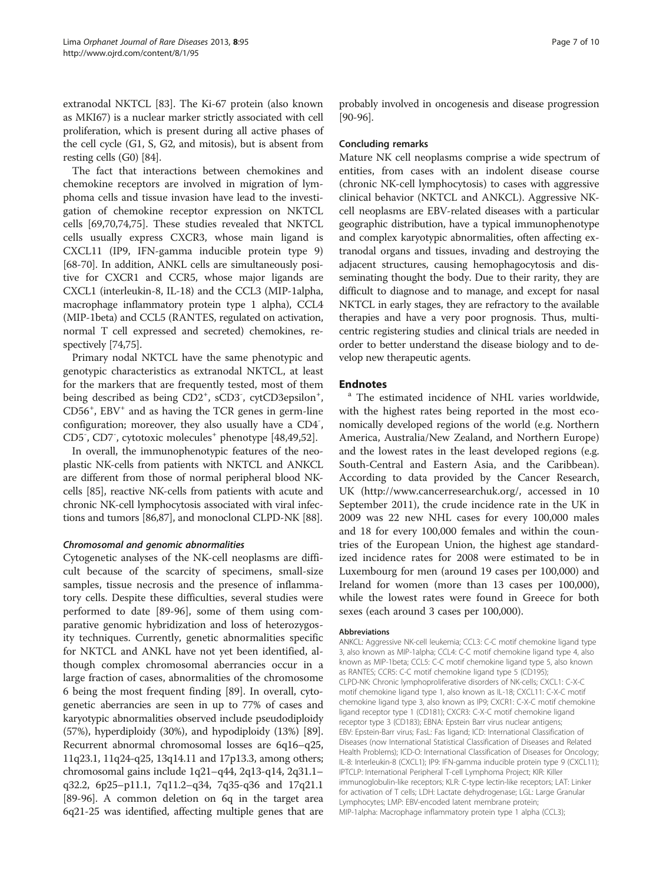extranodal NKTCL [[83](#page-9-0)]. The Ki-67 protein (also known as MKI67) is a nuclear marker strictly associated with cell proliferation, which is present during all active phases of the cell cycle (G1, S, G2, and mitosis), but is absent from resting cells (G0) [\[84\]](#page-9-0).

The fact that interactions between chemokines and chemokine receptors are involved in migration of lymphoma cells and tissue invasion have lead to the investigation of chemokine receptor expression on NKTCL cells [\[69,70,](#page-8-0)[74,75\]](#page-9-0). These studies revealed that NKTCL cells usually express CXCR3, whose main ligand is CXCL11 (IP9, IFN-gamma inducible protein type 9) [[68](#page-8-0)-[70\]](#page-8-0). In addition, ANKL cells are simultaneously positive for CXCR1 and CCR5, whose major ligands are CXCL1 (interleukin-8, IL-18) and the CCL3 (MIP-1alpha, macrophage inflammatory protein type 1 alpha), CCL4 (MIP-1beta) and CCL5 (RANTES, regulated on activation, normal T cell expressed and secreted) chemokines, respectively [\[74,75](#page-9-0)].

Primary nodal NKTCL have the same phenotypic and genotypic characteristics as extranodal NKTCL, at least for the markers that are frequently tested, most of them being described as being CD2<sup>+</sup>, sCD3<sup>-</sup>, cytCD3epsilon<sup>+</sup>, CD56<sup>+</sup> , EBV<sup>+</sup> and as having the TCR genes in germ-line configuration; moreover, they also usually have a CD4- , CD5<sup>-</sup>, CD7<sup>-</sup>, cytotoxic molecules<sup>+</sup> phenotype [[48,49,52](#page-8-0)].

In overall, the immunophenotypic features of the neoplastic NK-cells from patients with NKTCL and ANKCL are different from those of normal peripheral blood NKcells [[85](#page-9-0)], reactive NK-cells from patients with acute and chronic NK-cell lymphocytosis associated with viral infections and tumors [[86,87](#page-9-0)], and monoclonal CLPD-NK [[88](#page-9-0)].

#### Chromosomal and genomic abnormalities

Cytogenetic analyses of the NK-cell neoplasms are difficult because of the scarcity of specimens, small-size samples, tissue necrosis and the presence of inflammatory cells. Despite these difficulties, several studies were performed to date [\[89-96](#page-9-0)], some of them using comparative genomic hybridization and loss of heterozygosity techniques. Currently, genetic abnormalities specific for NKTCL and ANKL have not yet been identified, although complex chromosomal aberrancies occur in a large fraction of cases, abnormalities of the chromosome 6 being the most frequent finding [[89](#page-9-0)]. In overall, cytogenetic aberrancies are seen in up to 77% of cases and karyotypic abnormalities observed include pseudodiploidy (57%), hyperdiploidy (30%), and hypodiploidy (13%) [[89](#page-9-0)]. Recurrent abnormal chromosomal losses are 6q16–q25, 11q23.1, 11q24-q25, 13q14.11 and 17p13.3, among others; chromosomal gains include 1q21–q44, 2q13-q14, 2q31.1– q32.2, 6p25–p11.1, 7q11.2–q34, 7q35-q36 and 17q21.1 [[89](#page-9-0)-[96\]](#page-9-0). A common deletion on 6q in the target area 6q21-25 was identified, affecting multiple genes that are probably involved in oncogenesis and disease progression [[90](#page-9-0)-[96\]](#page-9-0).

#### Concluding remarks

Mature NK cell neoplasms comprise a wide spectrum of entities, from cases with an indolent disease course (chronic NK-cell lymphocytosis) to cases with aggressive clinical behavior (NKTCL and ANKCL). Aggressive NKcell neoplasms are EBV-related diseases with a particular geographic distribution, have a typical immunophenotype and complex karyotypic abnormalities, often affecting extranodal organs and tissues, invading and destroying the adjacent structures, causing hemophagocytosis and disseminating thought the body. Due to their rarity, they are difficult to diagnose and to manage, and except for nasal NKTCL in early stages, they are refractory to the available therapies and have a very poor prognosis. Thus, multicentric registering studies and clinical trials are needed in order to better understand the disease biology and to develop new therapeutic agents.

**Endnotes**<br><sup>a</sup> The estimated incidence of NHL varies worldwide, with the highest rates being reported in the most economically developed regions of the world (e.g. Northern America, Australia/New Zealand, and Northern Europe) and the lowest rates in the least developed regions (e.g. South-Central and Eastern Asia, and the Caribbean). According to data provided by the Cancer Research, UK [\(http://www.cancerresearchuk.org/](http://www.cancerresearchuk.org/), accessed in 10 September 2011), the crude incidence rate in the UK in 2009 was 22 new NHL cases for every 100,000 males and 18 for every 100,000 females and within the countries of the European Union, the highest age standardized incidence rates for 2008 were estimated to be in Luxembourg for men (around 19 cases per 100,000) and Ireland for women (more than 13 cases per 100,000), while the lowest rates were found in Greece for both sexes (each around 3 cases per 100,000).

#### Abbreviations

ANKCL: Aggressive NK-cell leukemia; CCL3: C-C motif chemokine ligand type 3, also known as MIP-1alpha; CCL4: C-C motif chemokine ligand type 4, also known as MIP-1beta; CCL5: C-C motif chemokine ligand type 5, also known as RANTES; CCR5: C-C motif chemokine ligand type 5 (CD195); CLPD-NK: Chronic lymphoproliferative disorders of NK-cells; CXCL1: C-X-C motif chemokine ligand type 1, also known as IL-18; CXCL11: C-X-C motif chemokine ligand type 3, also known as IP9; CXCR1: C-X-C motif chemokine ligand receptor type 1 (CD181); CXCR3: C-X-C motif chemokine ligand receptor type 3 (CD183); EBNA: Epstein Barr virus nuclear antigens; EBV: Epstein-Barr virus; FasL: Fas ligand; ICD: International Classification of Diseases (now International Statistical Classification of Diseases and Related Health Problems); ICD-O: International Classification of Diseases for Oncology; IL-8: Interleukin-8 (CXCL1); IP9: IFN-gamma inducible protein type 9 (CXCL11); IPTCLP: International Peripheral T-cell Lymphoma Project; KIR: Killer immunoglobulin-like receptors; KLR: C-type lectin-like receptors; LAT: Linker for activation of T cells; LDH: Lactate dehydrogenase; LGL: Large Granular Lymphocytes; LMP: EBV-encoded latent membrane protein; MIP-1alpha: Macrophage inflammatory protein type 1 alpha (CCL3);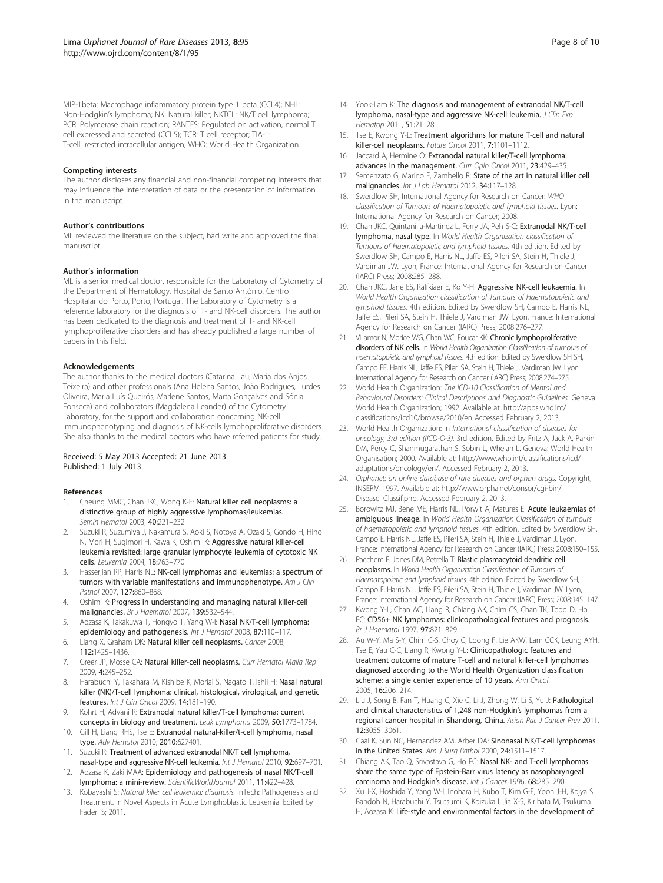<span id="page-7-0"></span>MIP-1beta: Macrophage inflammatory protein type 1 beta (CCL4); NHL: Non-Hodgkin's lymphoma; NK: Natural killer; NKTCL: NK/T cell lymphoma; PCR: Polymerase chain reaction; RANTES: Regulated on activation, normal T cell expressed and secreted (CCL5); TCR: T cell receptor; TIA-1: T-cell–restricted intracellular antigen; WHO: World Health Organization.

#### Competing interests

The author discloses any financial and non-financial competing interests that may influence the interpretation of data or the presentation of information in the manuscript.

#### Author's contributions

ML reviewed the literature on the subject, had write and approved the final manuscript.

#### Author's information

ML is a senior medical doctor, responsible for the Laboratory of Cytometry of the Department of Hematology, Hospital de Santo António, Centro Hospitalar do Porto, Porto, Portugal. The Laboratory of Cytometry is a reference laboratory for the diagnosis of T- and NK-cell disorders. The author has been dedicated to the diagnosis and treatment of T- and NK-cell lymphoproliferative disorders and has already published a large number of papers in this field.

#### Acknowledgements

The author thanks to the medical doctors (Catarina Lau, Maria dos Anjos Teixeira) and other professionals (Ana Helena Santos, João Rodrigues, Lurdes Oliveira, Maria Luís Queirós, Marlene Santos, Marta Gonçalves and Sónia Fonseca) and collaborators (Magdalena Leander) of the Cytometry Laboratory, for the support and collaboration concerning NK-cell immunophenotyping and diagnosis of NK-cells lymphoproliferative disorders. She also thanks to the medical doctors who have referred patients for study.

#### Received: 5 May 2013 Accepted: 21 June 2013 Published: 1 July 2013

#### References

- 1. Cheung MMC, Chan JKC, Wong K-F: Natural killer cell neoplasms: a distinctive group of highly aggressive lymphomas/leukemias. Semin Hematol 2003, 40:221–232.
- 2. Suzuki R, Suzumiya J, Nakamura S, Aoki S, Notoya A, Ozaki S, Gondo H, Hino N, Mori H, Sugimori H, Kawa K, Oshimi K: Aggressive natural killer-cell leukemia revisited: large granular lymphocyte leukemia of cytotoxic NK cells. Leukemia 2004, 18:763–770.
- 3. Hasserjian RP, Harris NL: NK-cell lymphomas and leukemias: a spectrum of tumors with variable manifestations and immunophenotype. Am J Clin Pathol 2007, 127:860–868.
- 4. Oshimi K: Progress in understanding and managing natural killer-cell malignancies. Br J Haematol 2007, 139:532–544.
- 5. Aozasa K, Takakuwa T, Hongyo T, Yang W-I: Nasal NK/T-cell lymphoma: epidemiology and pathogenesis. Int J Hematol 2008, 87:110–117.
- 6. Liang X, Graham DK: Natural killer cell neoplasms. Cancer 2008, 112:1425–1436.
- 7. Greer JP, Mosse CA: Natural killer-cell neoplasms. Curr Hematol Malig Rep 2009, 4:245–252.
- Harabuchi Y, Takahara M, Kishibe K, Moriai S, Nagato T, Ishii H: Nasal natural killer (NK)/T-cell lymphoma: clinical, histological, virological, and genetic features. Int J Clin Oncol 2009, 14:181–190.
- Kohrt H, Advani R: Extranodal natural killer/T-cell lymphoma: current concepts in biology and treatment. Leuk Lymphoma 2009, 50:1773–1784.
- 10. Gill H, Liang RHS, Tse E: Extranodal natural-killer/t-cell lymphoma, nasal type. Adv Hematol 2010, 2010:627401.
- 11. Suzuki R: Treatment of advanced extranodal NK/T cell lymphoma, nasal-type and aggressive NK-cell leukemia. Int J Hematol 2010, 92:697-701.
- 12. Aozasa K, Zaki MAA: Epidemiology and pathogenesis of nasal NK/T-cell lymphoma: a mini-review. ScientificWorldJournal 2011, 11:422–428.
- 13. Kobayashi S: Natural killer cell leukemia: diagnosis. InTech: Pathogenesis and Treatment. In Novel Aspects in Acute Lymphoblastic Leukemia. Edited by Faderl S; 2011.
- 14. Yook-Lam K: The diagnosis and management of extranodal NK/T-cell lymphoma, nasal-type and aggressive NK-cell leukemia. J Clin Exp Hematop 2011, 51:21–28.
- 15. Tse E, Kwong Y-L: Treatment algorithms for mature T-cell and natural killer-cell neoplasms. Future Oncol 2011, 7:1101–1112.
- 16. Jaccard A, Hermine O: Extranodal natural killer/T-cell lymphoma: advances in the management. Curr Opin Oncol 2011, 23:429-435.
- 17. Semenzato G, Marino F, Zambello R: State of the art in natural killer cell malignancies. Int J Lab Hematol 2012, 34:117–128.
- 18. Swerdlow SH, International Agency for Research on Cancer: WHO classification of Tumours of Haematopoietic and lymphoid tissues. Lyon: International Agency for Research on Cancer; 2008.
- 19. Chan JKC, Quintanilla-Martinez L, Ferry JA, Peh S-C: Extranodal NK/T-cell lymphoma, nasal type. In World Health Organization classification of Tumours of Haematopoietic and lymphoid tissues. 4th edition. Edited by Swerdlow SH, Campo E, Harris NL, Jaffe ES, Pileri SA, Stein H, Thiele J, Vardiman JW. Lyon, France: International Agency for Research on Cancer (IARC) Press; 2008:285–288.
- 20. Chan JKC, Jane ES, Ralfkiaer E, Ko Y-H: Aggressive NK-cell leukaemia. In World Health Organization classification of Tumours of Haematopoietic and lymphoid tissues. 4th edition. Edited by Swerdlow SH, Campo E, Harris NL, Jaffe ES, Pileri SA, Stein H, Thiele J, Vardiman JW. Lyon, France: International Agency for Research on Cancer (IARC) Press; 2008:276–277.
- 21. Villamor N, Morice WG, Chan WC, Foucar KK: Chronic lymphoproliferative disorders of NK cells. In World Health Organization Classification of tumours of haematopoietic and lymphoid tissues. 4th edition. Edited by Swerdlow SH SH, Campo EE, Harris NL, Jaffe ES, Pileri SA, Stein H, Thiele J, Vardiman JW. Lyon: International Agency for Research on Cancer (IARC) Press; 2008:274–275.
- 22. World Health Organization: The ICD-10 Classification of Mental and Behavioural Disorders: Clinical Descriptions and Diagnostic Guidelines. Geneva: World Health Organization; 1992. Available at: [http://apps.who.int/](http://apps.who.int/classifications/icd10/browse/2010/en) [classifications/icd10/browse/2010/en](http://apps.who.int/classifications/icd10/browse/2010/en) Accessed February 2, 2013.
- 23. World Health Organization: In International classification of diseases for oncology, 3rd edition ((ICD-O-3). 3rd edition. Edited by Fritz A, Jack A, Parkin DM, Percy C, Shanmugarathan S, Sobin L, Whelan L. Geneva: World Health Organisation; 2000. Available at: [http://www.who.int/classifications/icd/](http://www.who.int/classifications/icd/adaptations/oncology/en/) [adaptations/oncology/en/](http://www.who.int/classifications/icd/adaptations/oncology/en/). Accessed February 2, 2013.
- 24. Orphanet: an online database of rare diseases and orphan drugs. Copyright, INSERM 1997. Available at: [http://www.orpha.net/consor/cgi-bin/](http://www.orpha.net/consor/cgi-bin/Disease_Classif.php) [Disease\\_Classif.php](http://www.orpha.net/consor/cgi-bin/Disease_Classif.php). Accessed February 2, 2013.
- 25. Borowitz MJ, Bene ME, Harris NL, Porwit A, Matures E: Acute leukaemias of ambiguous lineage. In World Health Organization Classification of tumours of haematopoietic and lymphoid tissues. 4th edition. Edited by Swerdlow SH, Campo E, Harris NL, Jaffe ES, Pileri SA, Stein H, Thiele J, Vardiman J. Lyon, France: International Agency for Research on Cancer (IARC) Press; 2008:150–155.
- 26. Pacchem F, Jones DM, Petrella T: Blastic plasmacytoid dendritic cell neoplasms. In World Health Organization Classification of Tumours of Haematopoietic and lymphoid tissues. 4th edition. Edited by Swerdlow SH, Campo E, Harris NL, Jaffe ES, Pileri SA, Stein H, Thiele J, Vardiman JW. Lyon, France: International Agency for Research on Cancer (IARC) Press; 2008:145–147.
- 27. Kwong Y-L, Chan AC, Liang R, Chiang AK, Chim CS, Chan TK, Todd D, Ho FC: CD56+ NK lymphomas: clinicopathological features and prognosis. Br J Haematol 1997, 97:821–829.
- 28. Au W-Y, Ma S-Y, Chim C-S, Choy C, Loong F, Lie AKW, Lam CCK, Leung AYH, Tse E, Yau C-C, Liang R, Kwong Y-L: Clinicopathologic features and treatment outcome of mature T-cell and natural killer-cell lymphomas diagnosed according to the World Health Organization classification scheme: a single center experience of 10 years. Ann Oncol 2005, 16:206–214.
- 29. Liu J, Song B, Fan T, Huang C, Xie C, Li J, Zhong W, Li S, Yu J: Pathological and clinical characteristics of 1,248 non-Hodgkin's lymphomas from a regional cancer hospital in Shandong, China. Asian Pac J Cancer Prev 2011, 12:3055–3061.
- 30. Gaal K, Sun NC, Hernandez AM, Arber DA: Sinonasal NK/T-cell lymphomas in the United States. Am J Surg Pathol 2000, 24:1511–1517.
- 31. Chiang AK, Tao Q, Srivastava G, Ho FC: Nasal NK- and T-cell lymphomas share the same type of Epstein-Barr virus latency as nasopharyngeal carcinoma and Hodgkin's disease. Int J Cancer 1996, 68:285–290.
- 32. Xu J-X, Hoshida Y, Yang W-I, Inohara H, Kubo T, Kim G-E, Yoon J-H, Kojya S, Bandoh N, Harabuchi Y, Tsutsumi K, Koizuka I, Jia X-S, Kirihata M, Tsukuma H, Aozasa K: Life-style and environmental factors in the development of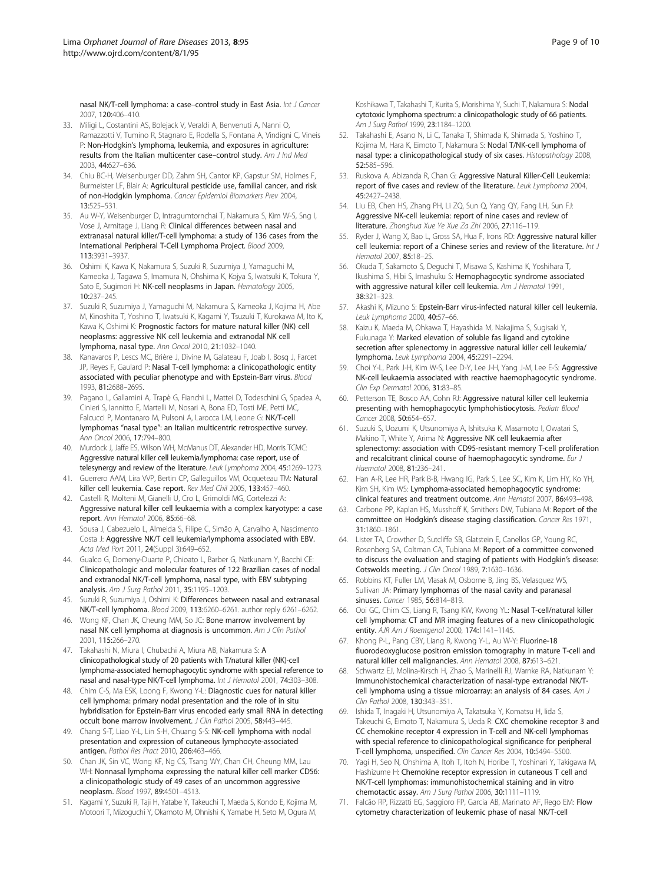<span id="page-8-0"></span>nasal NK/T-cell lymphoma: a case–control study in East Asia. Int J Cancer 2007, 120:406–410.

- 33. Miligi L, Costantini AS, Bolejack V, Veraldi A, Benvenuti A, Nanni O, Ramazzotti V, Tumino R, Stagnaro E, Rodella S, Fontana A, Vindigni C, Vineis P: Non-Hodgkin's lymphoma, leukemia, and exposures in agriculture: results from the Italian multicenter case–control study. Am J Ind Med 2003, 44:627–636.
- 34. Chiu BC-H, Weisenburger DD, Zahm SH, Cantor KP, Gapstur SM, Holmes F, Burmeister LF, Blair A: Agricultural pesticide use, familial cancer, and risk of non-Hodgkin lymphoma. Cancer Epidemiol Biomarkers Prev 2004, 13:525–531.
- 35. Au W-Y, Weisenburger D, Intragumtornchai T, Nakamura S, Kim W-S, Sng I, Vose J, Armitage J, Liang R: Clinical differences between nasal and extranasal natural killer/T-cell lymphoma: a study of 136 cases from the International Peripheral T-Cell Lymphoma Project. Blood 2009, 113:3931–3937.
- 36. Oshimi K, Kawa K, Nakamura S, Suzuki R, Suzumiya J, Yamaguchi M, Kameoka J, Tagawa S, Imamura N, Ohshima K, Kojya S, Iwatsuki K, Tokura Y, Sato E, Sugimori H: NK-cell neoplasms in Japan. Hematology 2005, 10:237–245.
- 37. Suzuki R, Suzumiya J, Yamaguchi M, Nakamura S, Kameoka J, Kojima H, Abe M, Kinoshita T, Yoshino T, Iwatsuki K, Kagami Y, Tsuzuki T, Kurokawa M, Ito K, Kawa K, Oshimi K: Prognostic factors for mature natural killer (NK) cell neoplasms: aggressive NK cell leukemia and extranodal NK cell lymphoma, nasal type. Ann Oncol 2010, 21:1032–1040.
- 38. Kanavaros P, Lescs MC, Brière J, Divine M, Galateau F, Joab I, Bosq J, Farcet JP, Reyes F, Gaulard P: Nasal T-cell lymphoma: a clinicopathologic entity associated with peculiar phenotype and with Epstein-Barr virus. Blood 1993, 81:2688–2695.
- 39. Pagano L, Gallamini A, Trapè G, Fianchi L, Mattei D, Todeschini G, Spadea A, Cinieri S, Iannitto E, Martelli M, Nosari A, Bona ED, Tosti ME, Petti MC, Falcucci P, Montanaro M, Pulsoni A, Larocca LM, Leone G: NK/T-cell lymphomas "nasal type": an Italian multicentric retrospective survey. Ann Oncol 2006, 17:794–800.
- 40. Murdock J, Jaffe ES, Wilson WH, McManus DT, Alexander HD, Morris TCMC: Aggressive natural killer cell leukemia/lymphoma: case report, use of telesynergy and review of the literature. Leuk Lymphoma 2004, 45:1269–1273.
- 41. Guerrero AAM, Lira WP, Bertin CP, Galleguillos VM, Ocqueteau TM: Natural killer cell leukemia. Case report. Rev Med Chil 2005, 133:457-460.
- 42. Castelli R, Molteni M, Gianelli U, Cro L, Grimoldi MG, Cortelezzi A: Aggressive natural killer cell leukaemia with a complex karyotype: a case report. Ann Hematol 2006, 85:66–68.
- 43. Sousa J, Cabezuelo L, Almeida S, Filipe C, Simão A, Carvalho A, Nascimento Costa J: Aggressive NK/T cell leukemia/lymphoma associated with EBV. Acta Med Port 2011, 24(Suppl 3):649–652.
- 44. Gualco G, Domeny-Duarte P, Chioato L, Barber G, Natkunam Y, Bacchi CE: Clinicopathologic and molecular features of 122 Brazilian cases of nodal and extranodal NK/T-cell lymphoma, nasal type, with EBV subtyping analysis. Am J Surg Pathol 2011, 35:1195–1203.
- 45. Suzuki R, Suzumiya J, Oshimi K: Differences between nasal and extranasal NK/T-cell lymphoma. Blood 2009, 113:6260–6261. author reply 6261–6262.
- 46. Wong KF, Chan JK, Cheung MM, So JC: Bone marrow involvement by nasal NK cell lymphoma at diagnosis is uncommon. Am J Clin Pathol 2001, 115:266–270.
- 47. Takahashi N, Miura I, Chubachi A, Miura AB, Nakamura S: A clinicopathological study of 20 patients with T/natural killer (NK)-cell lymphoma-associated hemophagocytic syndrome with special reference to nasal and nasal-type NK/T-cell lymphoma. Int J Hematol 2001, 74:303–308.
- 48. Chim C-S, Ma ESK, Loong F, Kwong Y-L: Diagnostic cues for natural killer cell lymphoma: primary nodal presentation and the role of in situ hybridisation for Epstein-Barr virus encoded early small RNA in detecting occult bone marrow involvement. J Clin Pathol 2005, 58:443-445.
- 49. Chang S-T, Liao Y-L, Lin S-H, Chuang S-S: NK-cell lymphoma with nodal presentation and expression of cutaneous lymphocyte-associated antigen. Pathol Res Pract 2010, 206:463–466.
- 50. Chan JK, Sin VC, Wong KF, Ng CS, Tsang WY, Chan CH, Cheung MM, Lau WH: Nonnasal lymphoma expressing the natural killer cell marker CD56: a clinicopathologic study of 49 cases of an uncommon aggressive neoplasm. Blood 1997, 89:4501–4513.
- 51. Kagami Y, Suzuki R, Taji H, Yatabe Y, Takeuchi T, Maeda S, Kondo E, Kojima M, Motoori T, Mizoguchi Y, Okamoto M, Ohnishi K, Yamabe H, Seto M, Ogura M,

Koshikawa T, Takahashi T, Kurita S, Morishima Y, Suchi T, Nakamura S: Nodal cytotoxic lymphoma spectrum: a clinicopathologic study of 66 patients. Am J Surg Pathol 1999, 23:1184–1200.

- 52. Takahashi E, Asano N, Li C, Tanaka T, Shimada K, Shimada S, Yoshino T, Kojima M, Hara K, Eimoto T, Nakamura S: Nodal T/NK-cell lymphoma of nasal type: a clinicopathological study of six cases. Histopathology 2008, 52:585–596.
- 53. Ruskova A, Abizanda R, Chan G: Aggressive Natural Killer-Cell Leukemia: report of five cases and review of the literature. Leuk Lymphoma 2004, 45:2427–2438.
- 54. Liu EB, Chen HS, Zhang PH, Li ZQ, Sun Q, Yang QY, Fang LH, Sun FJ: Aggressive NK-cell leukemia: report of nine cases and review of literature. Zhonghua Xue Ye Xue Za Zhi 2006, 27:116–119.
- 55. Ryder J, Wang X, Bao L, Gross SA, Hua F, Irons RD: Aggressive natural killer cell leukemia: report of a Chinese series and review of the literature. Int J Hematol 2007, 85:18–25.
- 56. Okuda T, Sakamoto S, Deguchi T, Misawa S, Kashima K, Yoshihara T, Ikushima S, Hibi S, Imashuku S: Hemophagocytic syndrome associated with aggressive natural killer cell leukemia. Am J Hematol 1991, 38:321–323.
- 57. Akashi K, Mizuno S: Epstein-Barr virus-infected natural killer cell leukemia. Leuk Lymphoma 2000, 40:57–66.
- 58. Kaizu K, Maeda M, Ohkawa T, Hayashida M, Nakajima S, Sugisaki Y, Fukunaga Y: Marked elevation of soluble fas ligand and cytokine secretion after splenectomy in aggressive natural killer cell leukemia/ lymphoma. Leuk Lymphoma 2004, 45:2291–2294.
- 59. Choi Y-L, Park J-H, Kim W-S, Lee D-Y, Lee J-H, Yang J-M, Lee E-S: Aggressive NK-cell leukaemia associated with reactive haemophagocytic syndrome. Clin Exp Dermatol 2006, 31:83–85.
- 60. Petterson TE, Bosco AA, Cohn RJ: Aggressive natural killer cell leukemia presenting with hemophagocytic lymphohistiocytosis. Pediatr Blood Cancer 2008, 50:654-657.
- 61. Suzuki S, Uozumi K, Utsunomiya A, Ishitsuka K, Masamoto I, Owatari S, Makino T, White Y, Arima N: Aggressive NK cell leukaemia after splenectomy: association with CD95-resistant memory T-cell proliferation and recalcitrant clinical course of haemophagocytic syndrome. Eur J Haematol 2008, 81:236–241.
- 62. Han A-R, Lee HR, Park B-B, Hwang IG, Park S, Lee SC, Kim K, Lim HY, Ko YH, Kim SH, Kim WS: Lymphoma-associated hemophagocytic syndrome: clinical features and treatment outcome. Ann Hematol 2007, 86:493–498.
- 63. Carbone PP, Kaplan HS, Musshoff K, Smithers DW, Tubiana M: Report of the committee on Hodgkin's disease staging classification. Cancer Res 1971, 31:1860–1861.
- 64. Lister TA, Crowther D, Sutcliffe SB, Glatstein E, Canellos GP, Young RC, Rosenberg SA, Coltman CA, Tubiana M: Report of a committee convened to discuss the evaluation and staging of patients with Hodgkin's disease: Cotswolds meeting. J Clin Oncol 1989, 7:1630–1636.
- 65. Robbins KT, Fuller LM, Vlasak M, Osborne B, Jing BS, Velasquez WS, Sullivan JA: Primary lymphomas of the nasal cavity and paranasal sinuses. Cancer 1985, 56:814-819.
- 66. Ooi GC, Chim CS, Liang R, Tsang KW, Kwong YL: Nasal T-cell/natural killer cell lymphoma: CT and MR imaging features of a new clinicopathologic entity. AJR Am J Roentgenol 2000, 174:1141–1145.
- 67. Khong P-L, Pang CBY, Liang R, Kwong Y-L, Au W-Y: Fluorine-18 fluorodeoxyglucose positron emission tomography in mature T-cell and natural killer cell malignancies. Ann Hematol 2008, 87:613–621.
- 68. Schwartz EJ, Molina-Kirsch H, Zhao S, Marinelli RJ, Warnke RA, Natkunam Y: Immunohistochemical characterization of nasal-type extranodal NK/Tcell lymphoma using a tissue microarray: an analysis of 84 cases. Am J Clin Pathol 2008, 130:343–351.
- 69. Ishida T, Inagaki H, Utsunomiya A, Takatsuka Y, Komatsu H, Iida S, Takeuchi G, Eimoto T, Nakamura S, Ueda R: CXC chemokine receptor 3 and CC chemokine receptor 4 expression in T-cell and NK-cell lymphomas with special reference to clinicopathological significance for peripheral T-cell lymphoma, unspecified. Clin Cancer Res 2004, 10:5494–5500.
- 70. Yagi H, Seo N, Ohshima A, Itoh T, Itoh N, Horibe T, Yoshinari Y, Takigawa M, Hashizume H: Chemokine receptor expression in cutaneous T cell and NK/T-cell lymphomas: immunohistochemical staining and in vitro chemotactic assay. Am J Surg Pathol 2006, 30:1111–1119.
- 71. Falcão RP, Rizzatti EG, Saggioro FP, Garcia AB, Marinato AF, Rego EM: Flow cytometry characterization of leukemic phase of nasal NK/T-cell